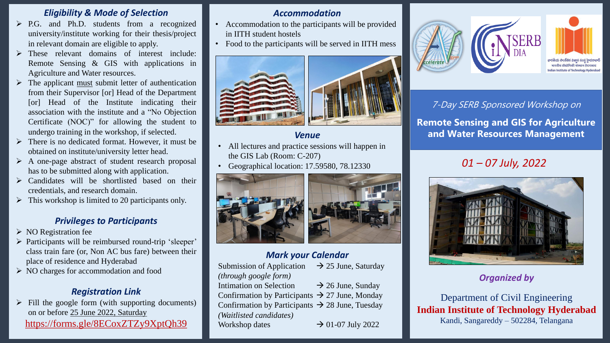## 7-Day SERB Sponsored Workshop on

**Remote Sensing and GIS for Agriculture and Water Resources Management**

## *Organized by*

- Accommodation to the participants will be provided in IITH student hostels
- Food to the participants will be served in IITH mess





Department of Civil Engineering **Indian Institute of Technology Hyderabad** Kandi, Sangareddy – 502284, Telangana

# *Accommodation*

## *Venue*

- P.G. and Ph.D. students from a recognized university/institute working for their thesis/project in relevant domain are eligible to apply.
- $\triangleright$  These relevant domains of interest include: Remote Sensing & GIS with applications in Agriculture and Water resources.
- $\triangleright$  The applicant <u>must</u> submit letter of authentication from their Supervisor [or] Head of the Department [or] Head of the Institute indicating their association with the institute and a "No Objection Certificate (NOC)" for allowing the student to undergo training in the workshop, if selected.
- $\triangleright$  There is no dedicated format. However, it must be obtained on institute/university letter head.
- $\triangleright$  A one-page abstract of student research proposal has to be submitted along with application.
- $\triangleright$  Candidates will be shortlisted based on their credentials, and research domain.
- $\triangleright$  This workshop is limited to 20 participants only.
- All lectures and practice sessions will happen in the GIS Lab (Room: C-207)
- Geographical location: 17.59580, 78.12330



# *Mark your Calendar*

| <b>Submission of Application</b>                            | $\rightarrow$ 25 June, Saturday |
|-------------------------------------------------------------|---------------------------------|
| <i>(through google form)</i>                                |                                 |
| Intimation on Selection                                     | $\rightarrow$ 26 June, Sunday   |
| Confirmation by Participants $\rightarrow$ 27 June, Monday  |                                 |
| Confirmation by Participants $\rightarrow$ 28 June, Tuesday |                                 |
| (Waitlisted candidates)                                     |                                 |
| Workshop dates                                              | $\rightarrow$ 01-07 July 2022   |





## *Eligibility & Mode of Selection*

- $\triangleright$  NO Registration fee
- $\triangleright$  Participants will be reimbursed round-trip 'sleeper' class train fare (or, Non AC bus fare) between their place of residence and Hyderabad
- NO charges for accommodation and food

 $\triangleright$  Fill the google form (with supporting documents) on or before 25 June 2022, Saturday https://forms.gle/8ECoxZTZy9XptQh39

## *Privileges to Participants*

# *Registration Link*

# *01 – 07 July, 2022*